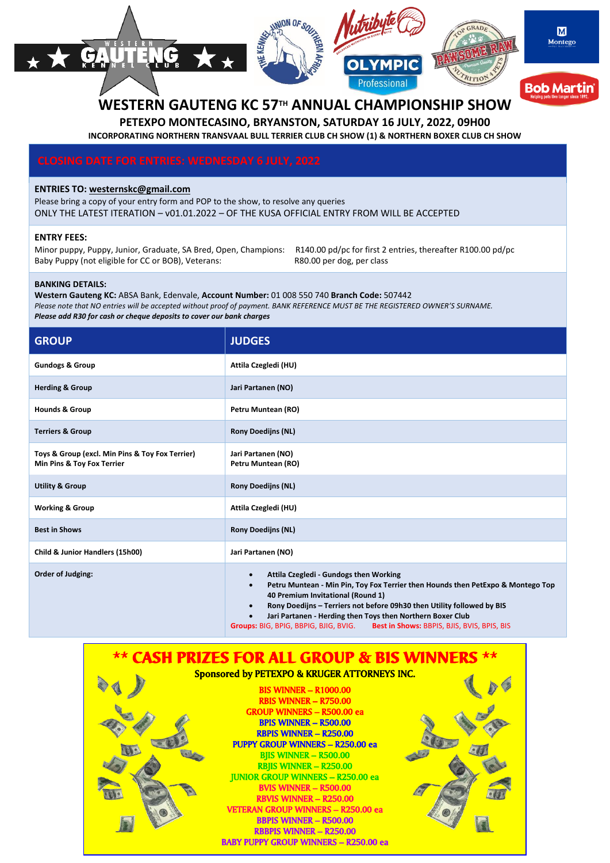#### $MONOF$ CRAF M Montego ÇA  $\Omega$ REFIC Professional **Bob Martin**

# **WESTERN GAUTENG KC 57TH ANNUAL CHAMPIONSHIP SHOW**

**PETEXPO MONTECASINO, BRYANSTON, SATURDAY 16 JULY, 2022, 09H00 INCORPORATING NORTHERN TRANSVAAL BULL TERRIER CLUB CH SHOW (1) & NORTHERN BOXER CLUB CH SHOW**

#### **ENTRIES TO: [westernskc@gmail.com](mailto:westernskc@gmail.com)**

Please bring a copy of your entry form and POP to the show, to resolve any queries ONLY THE LATEST ITERATION – v01.01.2022 – OF THE KUSA OFFICIAL ENTRY FROM WILL BE ACCEPTED

#### **ENTRY FEES:**

Minor puppy, Puppy, Junior, Graduate, SA Bred, Open, Champions: R140.00 pd/pc for first 2 entries, thereafter R100.00 pd/pc Baby Puppy (not eligible for CC or BOB), Veterans: R80.00 per dog, per class

#### **BANKING DETAILS:**

**Western Gauteng KC:** ABSA Bank, Edenvale, **Account Number:** 01 008 550 740 **Branch Code:** 507442 *Please note that NO entries will be accepted without proof of payment. BANK REFERENCE MUST BE THE REGISTERED OWNER'S SURNAME. Please add R30 for cash or cheque deposits to cover our bank charges*

| <b>GROUP</b>                                                                  | <b>JUDGES</b>                                                                                                                                                                                                                                                                                                                                                                                                                         |
|-------------------------------------------------------------------------------|---------------------------------------------------------------------------------------------------------------------------------------------------------------------------------------------------------------------------------------------------------------------------------------------------------------------------------------------------------------------------------------------------------------------------------------|
| <b>Gundogs &amp; Group</b>                                                    | Attila Czegledi (HU)                                                                                                                                                                                                                                                                                                                                                                                                                  |
| <b>Herding &amp; Group</b>                                                    | Jari Partanen (NO)                                                                                                                                                                                                                                                                                                                                                                                                                    |
| <b>Hounds &amp; Group</b>                                                     | Petru Muntean (RO)                                                                                                                                                                                                                                                                                                                                                                                                                    |
| <b>Terriers &amp; Group</b>                                                   | <b>Rony Doedijns (NL)</b>                                                                                                                                                                                                                                                                                                                                                                                                             |
| Toys & Group (excl. Min Pins & Toy Fox Terrier)<br>Min Pins & Toy Fox Terrier | Jari Partanen (NO)<br>Petru Muntean (RO)                                                                                                                                                                                                                                                                                                                                                                                              |
| <b>Utility &amp; Group</b>                                                    | <b>Rony Doedijns (NL)</b>                                                                                                                                                                                                                                                                                                                                                                                                             |
| <b>Working &amp; Group</b>                                                    | Attila Czegledi (HU)                                                                                                                                                                                                                                                                                                                                                                                                                  |
| <b>Best in Shows</b>                                                          | <b>Rony Doedijns (NL)</b>                                                                                                                                                                                                                                                                                                                                                                                                             |
| Child & Junior Handlers (15h00)                                               | Jari Partanen (NO)                                                                                                                                                                                                                                                                                                                                                                                                                    |
| Order of Judging:                                                             | Attila Czegledi - Gundogs then Working<br>$\bullet$<br>Petru Muntean - Min Pin, Toy Fox Terrier then Hounds then PetExpo & Montego Top<br>$\bullet$<br>40 Premium Invitational (Round 1)<br>Rony Doedijns - Terriers not before 09h30 then Utility followed by BIS<br>$\bullet$<br>Jari Partanen - Herding then Toys then Northern Boxer Club<br>Groups: BIG, BPIG, BBPIG, BJIG, BVIG.<br>Best in Shows: BBPIS, BJIS, BVIS, BPIS, BIS |